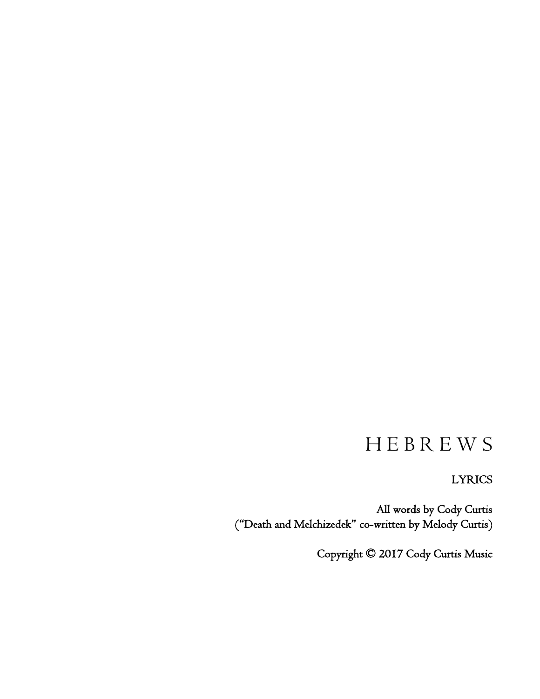# H E B R E W S

LYRICS

All words by Cody Curtis ("Death and Melchizedek" co-written by Melody Curtis)

Copyright © 2017 Cody Curtis Music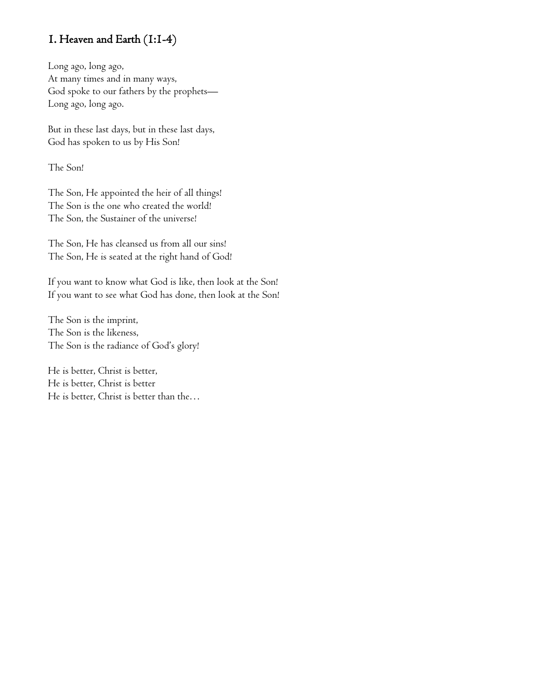### 1. Heaven and Earth (1:1-4)

Long ago, long ago, At many times and in many ways, God spoke to our fathers by the prophets— Long ago, long ago.

But in these last days, but in these last days, God has spoken to us by His Son!

The Son!

The Son, He appointed the heir of all things! The Son is the one who created the world! The Son, the Sustainer of the universe!

The Son, He has cleansed us from all our sins! The Son, He is seated at the right hand of God!

If you want to know what God is like, then look at the Son! If you want to see what God has done, then look at the Son!

The Son is the imprint, The Son is the likeness, The Son is the radiance of God's glory!

He is better, Christ is better, He is better, Christ is better He is better, Christ is better than the…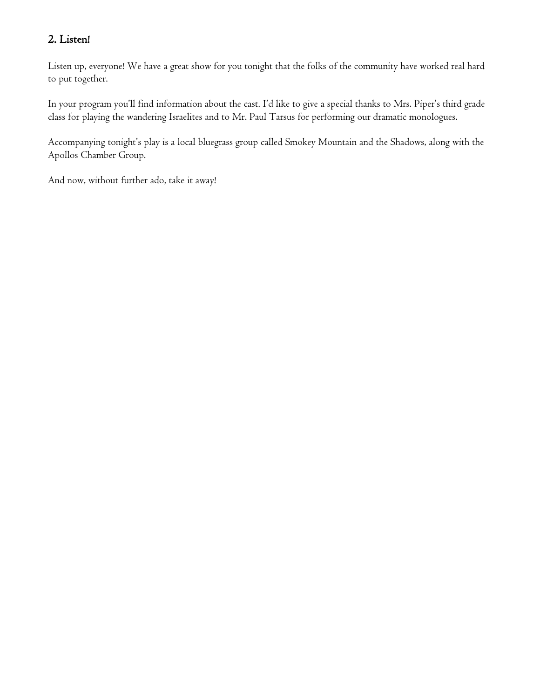### 2. Listen!

Listen up, everyone! We have a great show for you tonight that the folks of the community have worked real hard to put together.

In your program you'll find information about the cast. I'd like to give a special thanks to Mrs. Piper's third grade class for playing the wandering Israelites and to Mr. Paul Tarsus for performing our dramatic monologues.

Accompanying tonight's play is a local bluegrass group called Smokey Mountain and the Shadows, along with the Apollos Chamber Group.

And now, without further ado, take it away!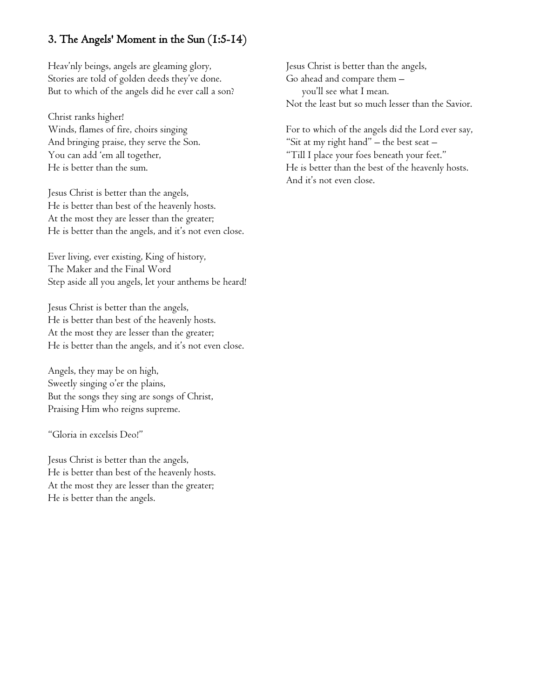### 3. The Angels' Moment in the Sun (1:5-14)

Heav'nly beings, angels are gleaming glory, Stories are told of golden deeds they've done. But to which of the angels did he ever call a son?

Christ ranks higher! Winds, flames of fire, choirs singing And bringing praise, they serve the Son. You can add 'em all together, He is better than the sum.

Jesus Christ is better than the angels, He is better than best of the heavenly hosts. At the most they are lesser than the greater; He is better than the angels, and it's not even close.

Ever living, ever existing, King of history, The Maker and the Final Word Step aside all you angels, let your anthems be heard!

Jesus Christ is better than the angels, He is better than best of the heavenly hosts. At the most they are lesser than the greater; He is better than the angels, and it's not even close.

Angels, they may be on high, Sweetly singing o'er the plains, But the songs they sing are songs of Christ, Praising Him who reigns supreme.

"Gloria in excelsis Deo!"

Jesus Christ is better than the angels, He is better than best of the heavenly hosts. At the most they are lesser than the greater; He is better than the angels.

Jesus Christ is better than the angels, Go ahead and compare them – you'll see what I mean. Not the least but so much lesser than the Savior.

For to which of the angels did the Lord ever say, "Sit at my right hand" – the best seat – "Till I place your foes beneath your feet." He is better than the best of the heavenly hosts. And it's not even close.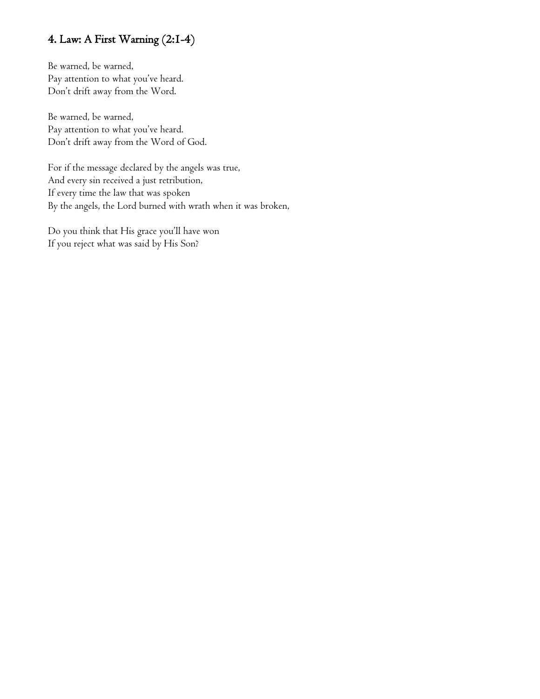### 4. Law: A First Warning (2:1-4)

Be warned, be warned, Pay attention to what you've heard. Don't drift away from the Word.

Be warned, be warned, Pay attention to what you've heard. Don't drift away from the Word of God.

For if the message declared by the angels was true, And every sin received a just retribution, If every time the law that was spoken By the angels, the Lord burned with wrath when it was broken,

Do you think that His grace you'll have won If you reject what was said by His Son?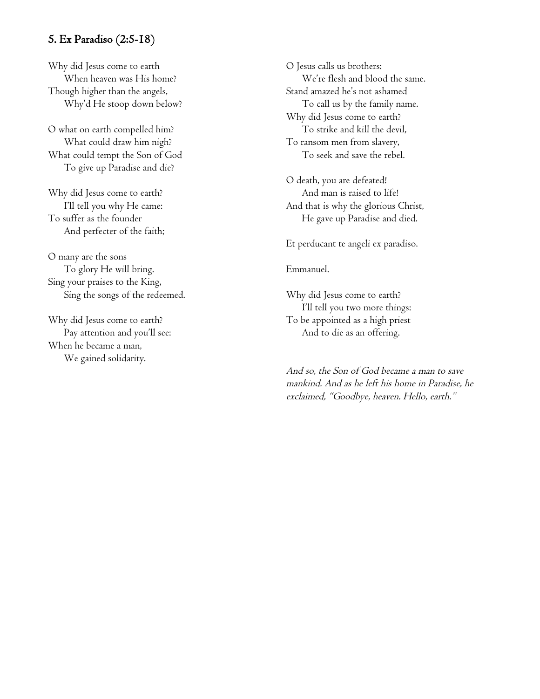### 5. Ex Paradiso (2:5-18)

Why did Jesus come to earth When heaven was His home? Though higher than the angels, Why'd He stoop down below?

O what on earth compelled him? What could draw him nigh? What could tempt the Son of God To give up Paradise and die?

Why did Jesus come to earth? I'll tell you why He came: To suffer as the founder And perfecter of the faith;

O many are the sons To glory He will bring. Sing your praises to the King, Sing the songs of the redeemed.

Why did Jesus come to earth? Pay attention and you'll see: When he became a man, We gained solidarity.

O Jesus calls us brothers: We're flesh and blood the same. Stand amazed he's not ashamed To call us by the family name. Why did Jesus come to earth? To strike and kill the devil, To ransom men from slavery, To seek and save the rebel.

O death, you are defeated! And man is raised to life! And that is why the glorious Christ, He gave up Paradise and died.

Et perducant te angeli ex paradiso.

#### Emmanuel.

Why did Jesus come to earth? I'll tell you two more things: To be appointed as a high priest And to die as an offering.

And so, the Son of God became a man to save mankind. And as he left his home in Paradise, he exclaimed, "Goodbye, heaven. Hello, earth."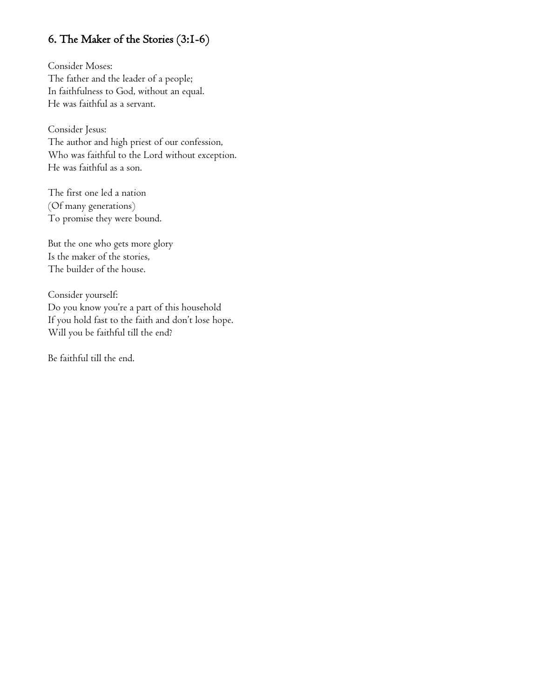### 6. The Maker of the Stories (3:1-6)

Consider Moses: The father and the leader of a people; In faithfulness to God, without an equal. He was faithful as a servant.

Consider Jesus: The author and high priest of our confession, Who was faithful to the Lord without exception. He was faithful as a son.

The first one led a nation (Of many generations) To promise they were bound.

But the one who gets more glory Is the maker of the stories, The builder of the house.

Consider yourself: Do you know you're a part of this household If you hold fast to the faith and don't lose hope. Will you be faithful till the end?

Be faithful till the end.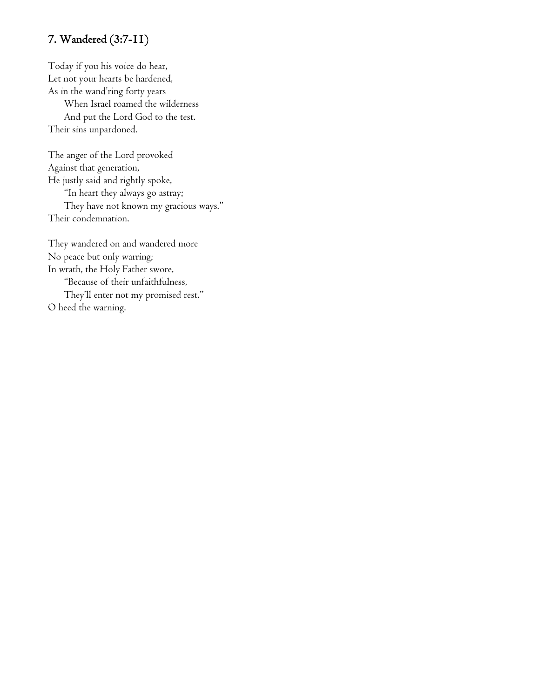### 7. Wandered (3:7-11)

Today if you his voice do hear, Let not your hearts be hardened, As in the wand'ring forty years When Israel roamed the wilderness And put the Lord God to the test. Their sins unpardoned.

The anger of the Lord provoked Against that generation, He justly said and rightly spoke, "In heart they always go astray; They have not known my gracious ways." Their condemnation.

They wandered on and wandered more No peace but only warring; In wrath, the Holy Father swore, "Because of their unfaithfulness, They'll enter not my promised rest." O heed the warning.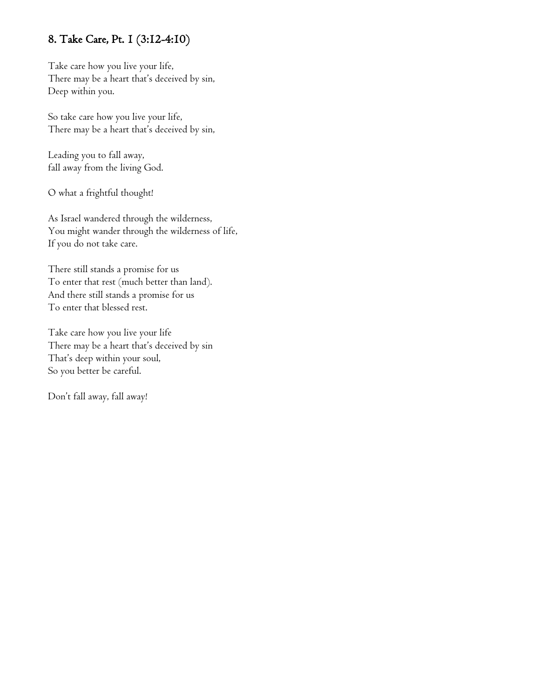### 8. Take Care, Pt. 1 (3:12-4:10)

Take care how you live your life, There may be a heart that's deceived by sin, Deep within you.

So take care how you live your life, There may be a heart that's deceived by sin,

Leading you to fall away, fall away from the living God.

O what a frightful thought!

As Israel wandered through the wilderness, You might wander through the wilderness of life, If you do not take care.

There still stands a promise for us To enter that rest (much better than land). And there still stands a promise for us To enter that blessed rest.

Take care how you live your life There may be a heart that's deceived by sin That's deep within your soul, So you better be careful.

Don't fall away, fall away!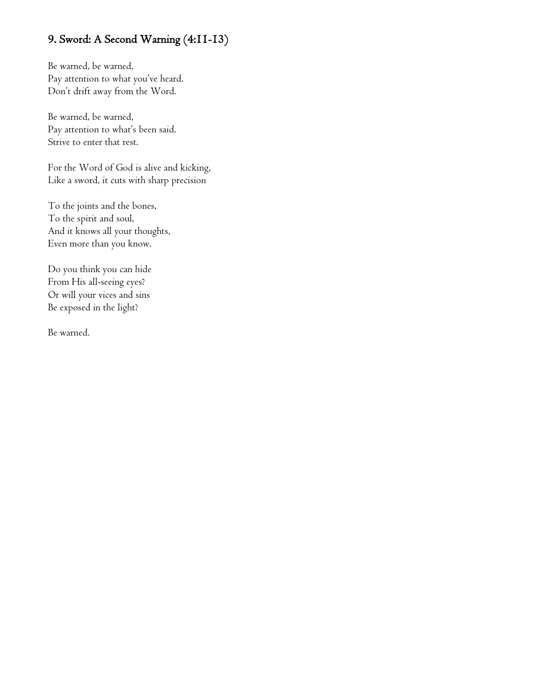### 9. Sword: A Second Warning (4:11-13)

Be warned, be warned, Pay attention to what you've heard. Don't drift away from the Word.

Be warned, be warned, Pay attention to what's been said. Strive to enter that rest.

For the Word of God is alive and kicking, Like a sword, it cuts with sharp precision

To the joints and the bones, To the spirit and soul, And it knows all your thoughts, Even more than you know.

Do you think you can hide From His all-seeing eyes? Or will your vices and sins Be exposed in the light?

Be warned.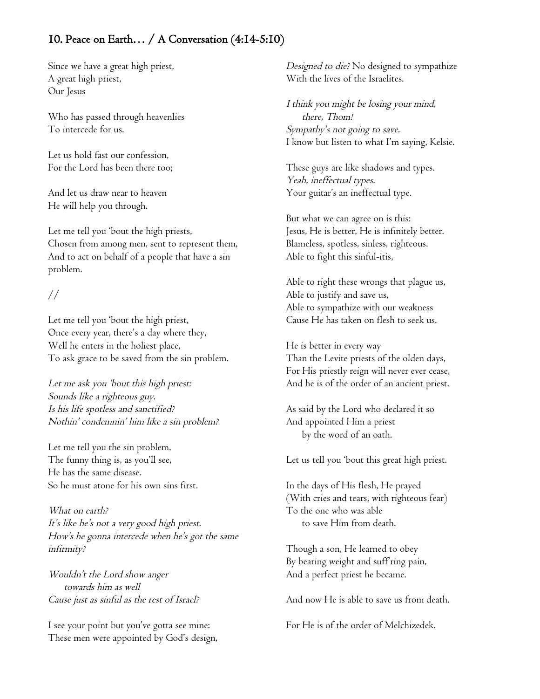### 10. Peace on Earth… / A Conversation (4:14-5:10)

Since we have a great high priest, A great high priest, Our Jesus

Who has passed through heavenlies To intercede for us.

Let us hold fast our confession, For the Lord has been there too;

And let us draw near to heaven He will help you through.

Let me tell you 'bout the high priests, Chosen from among men, sent to represent them, And to act on behalf of a people that have a sin problem.

//

Let me tell you 'bout the high priest, Once every year, there's a day where they, Well he enters in the holiest place, To ask grace to be saved from the sin problem.

Let me ask you 'bout this high priest: Sounds like a righteous guy. Is his life spotless and sanctified? Nothin' condemnin' him like a sin problem?

Let me tell you the sin problem, The funny thing is, as you'll see, He has the same disease. So he must atone for his own sins first.

What on earth? It's like he's not a very good high priest. How's he gonna intercede when he's got the same infirmity?

Wouldn't the Lord show anger towards him as well Cause just as sinful as the rest of Israel?

I see your point but you've gotta see mine: These men were appointed by God's design, Designed to die? No designed to sympathize With the lives of the Israelites.

I think you might be losing your mind, there, Thom! Sympathy's not going to save. I know but listen to what I'm saying, Kelsie.

These guys are like shadows and types. Yeah, ineffectual types. Your guitar's an ineffectual type.

But what we can agree on is this: Jesus, He is better, He is infinitely better. Blameless, spotless, sinless, righteous. Able to fight this sinful-itis,

Able to right these wrongs that plague us, Able to justify and save us, Able to sympathize with our weakness Cause He has taken on flesh to seek us.

He is better in every way Than the Levite priests of the olden days, For His priestly reign will never ever cease, And he is of the order of an ancient priest.

As said by the Lord who declared it so And appointed Him a priest by the word of an oath.

Let us tell you 'bout this great high priest.

In the days of His flesh, He prayed (With cries and tears, with righteous fear) To the one who was able to save Him from death.

Though a son, He learned to obey By bearing weight and suff ring pain, And a perfect priest he became.

And now He is able to save us from death.

For He is of the order of Melchizedek.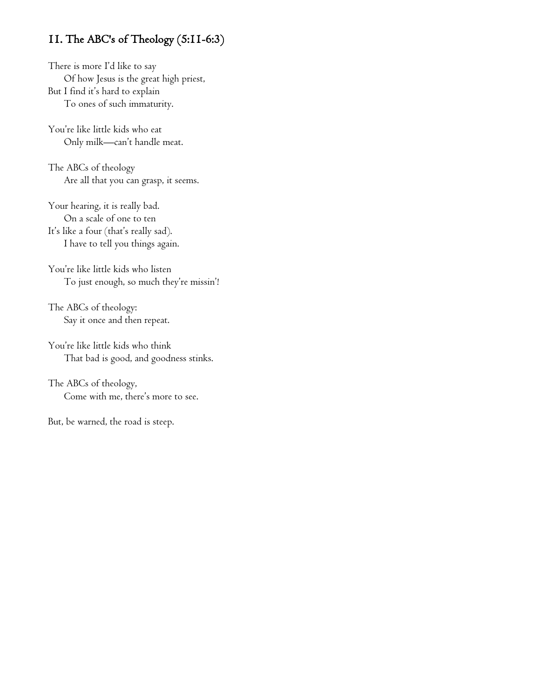### 11. The ABC's of Theology (5:11-6:3)

There is more I'd like to say Of how Jesus is the great high priest, But I find it's hard to explain To ones of such immaturity.

You're like little kids who eat Only milk—can't handle meat.

The ABCs of theology Are all that you can grasp, it seems.

Your hearing, it is really bad. On a scale of one to ten It's like a four (that's really sad). I have to tell you things again.

You're like little kids who listen To just enough, so much they're missin'!

The ABCs of theology: Say it once and then repeat.

You're like little kids who think That bad is good, and goodness stinks.

The ABCs of theology, Come with me, there's more to see.

But, be warned, the road is steep.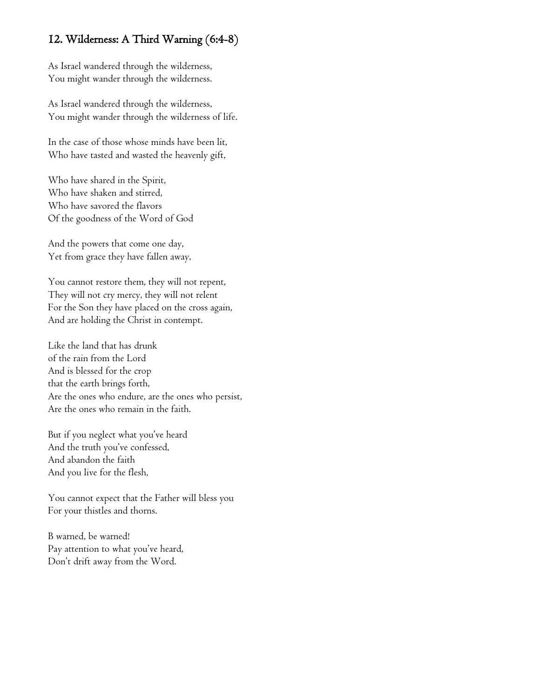### 12. Wilderness: A Third Warning (6:4-8)

As Israel wandered through the wilderness, You might wander through the wilderness.

As Israel wandered through the wilderness, You might wander through the wilderness of life.

In the case of those whose minds have been lit, Who have tasted and wasted the heavenly gift,

Who have shared in the Spirit, Who have shaken and stirred, Who have savored the flavors Of the goodness of the Word of God

And the powers that come one day, Yet from grace they have fallen away,

You cannot restore them, they will not repent, They will not cry mercy, they will not relent For the Son they have placed on the cross again, And are holding the Christ in contempt.

Like the land that has drunk of the rain from the Lord And is blessed for the crop that the earth brings forth, Are the ones who endure, are the ones who persist, Are the ones who remain in the faith.

But if you neglect what you've heard And the truth you've confessed, And abandon the faith And you live for the flesh,

You cannot expect that the Father will bless you For your thistles and thorns.

B warned, be warned! Pay attention to what you've heard, Don't drift away from the Word.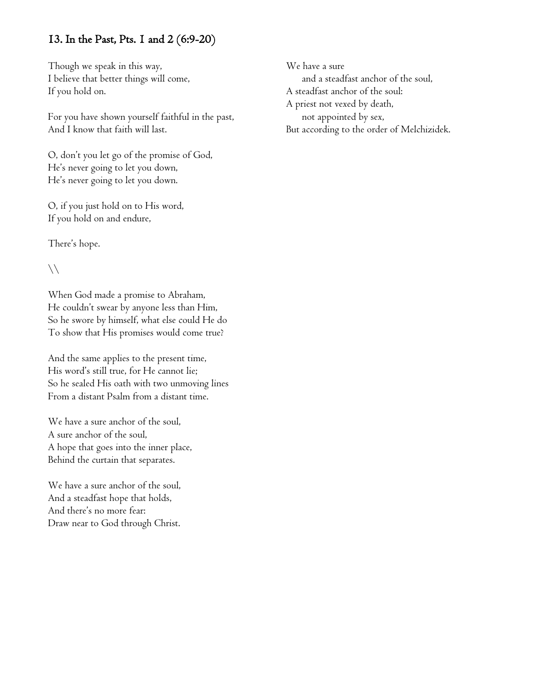### 13. In the Past, Pts. 1 and 2 (6:9-20)

Though we speak in this way, I believe that better things will come, If you hold on.

For you have shown yourself faithful in the past, And I know that faith will last.

O, don't you let go of the promise of God, He's never going to let you down, He's never going to let you down.

O, if you just hold on to His word, If you hold on and endure,

There's hope.

 $\setminus$ 

When God made a promise to Abraham, He couldn't swear by anyone less than Him, So he swore by himself, what else could He do To show that His promises would come true?

And the same applies to the present time, His word's still true, for He cannot lie; So he sealed His oath with two unmoving lines From a distant Psalm from a distant time.

We have a sure anchor of the soul, A sure anchor of the soul, A hope that goes into the inner place, Behind the curtain that separates.

We have a sure anchor of the soul, And a steadfast hope that holds, And there's no more fear: Draw near to God through Christ.

We have a sure and a steadfast anchor of the soul, A steadfast anchor of the soul: A priest not vexed by death, not appointed by sex, But according to the order of Melchizidek.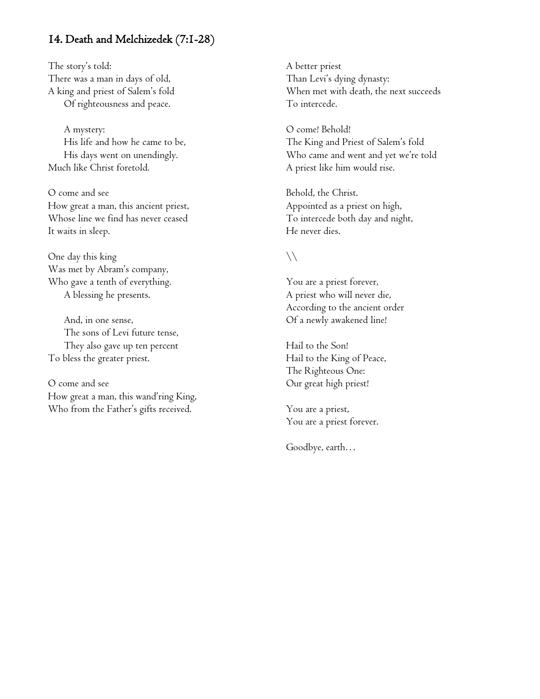### 14. Death and Melchizedek (7:1-28)

The story's told: There was a man in days of old, A king and priest of Salem's fold Of righteousness and peace.

A mystery: His life and how he came to be, His days went on unendingly. Much like Christ foretold.

O come and see How great a man, this ancient priest, Whose line we find has never ceased It waits in sleep.

One day this king Was met by Abram's company, Who gave a tenth of everything. A blessing he presents.

And, in one sense, The sons of Levi future tense, They also gave up ten percent To bless the greater priest.

O come and see How great a man, this wand'ring King, Who from the Father's gifts received.

A better priest Than Levi's dying dynasty: When met with death, the next succeeds To intercede.

O come! Behold! The King and Priest of Salem's fold Who came and went and yet we're told A priest like him would rise.

Behold, the Christ. Appointed as a priest on high, To intercede both day and night, He never dies.

#### $\setminus$

You are a priest forever, A priest who will never die, According to the ancient order Of a newly awakened line!

Hail to the Son! Hail to the King of Peace, The Righteous One: Our great high priest!

You are a priest, You are a priest forever.

Goodbye, earth…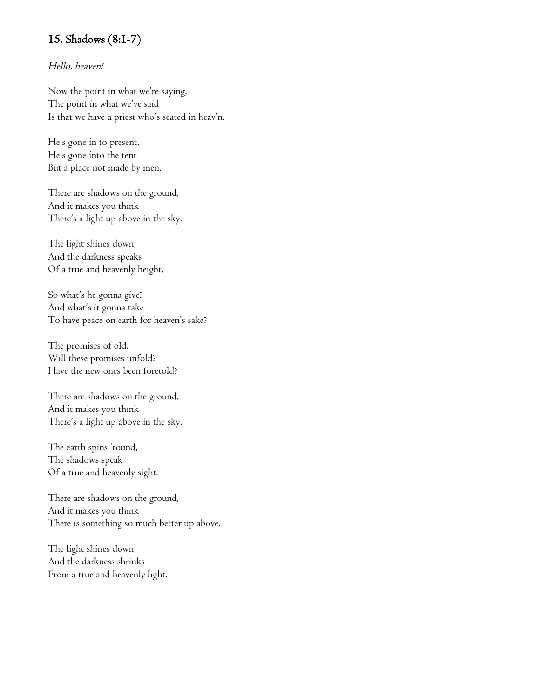### 15. Shadows (8:1-7)

#### Hello, heaven!

Now the point in what we're saying, The point in what we've said Is that we have a priest who's seated in heav'n.

He's gone in to present, He's gone into the tent But a place not made by men.

There are shadows on the ground, And it makes you think There's a light up above in the sky.

The light shines down, And the darkness speaks Of a true and heavenly height.

So what's he gonna give? And what's it gonna take To have peace on earth for heaven's sake?

The promises of old, Will these promises unfold? Have the new ones been foretold?

There are shadows on the ground, And it makes you think There's a light up above in the sky.

The earth spins 'round, The shadows speak Of a true and heavenly sight.

There are shadows on the ground, And it makes you think There is something so much better up above.

The light shines down, And the darkness shrinks From a true and heavenly light.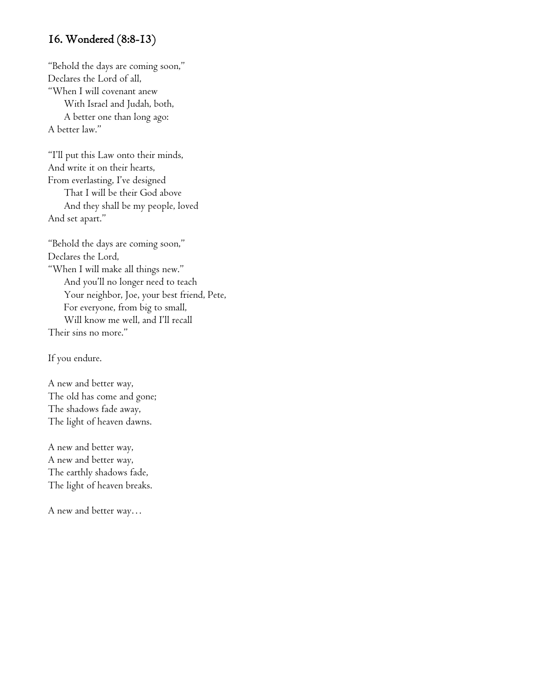### 16. Wondered (8:8-13)

"Behold the days are coming soon," Declares the Lord of all, "When I will covenant anew With Israel and Judah, both, A better one than long ago: A better law."

"I'll put this Law onto their minds, And write it on their hearts, From everlasting, I've designed That I will be their God above And they shall be my people, loved And set apart."

"Behold the days are coming soon," Declares the Lord, "When I will make all things new." And you'll no longer need to teach Your neighbor, Joe, your best friend, Pete, For everyone, from big to small, Will know me well, and I'll recall Their sins no more."

If you endure.

A new and better way, The old has come and gone; The shadows fade away, The light of heaven dawns.

A new and better way, A new and better way, The earthly shadows fade, The light of heaven breaks.

A new and better way…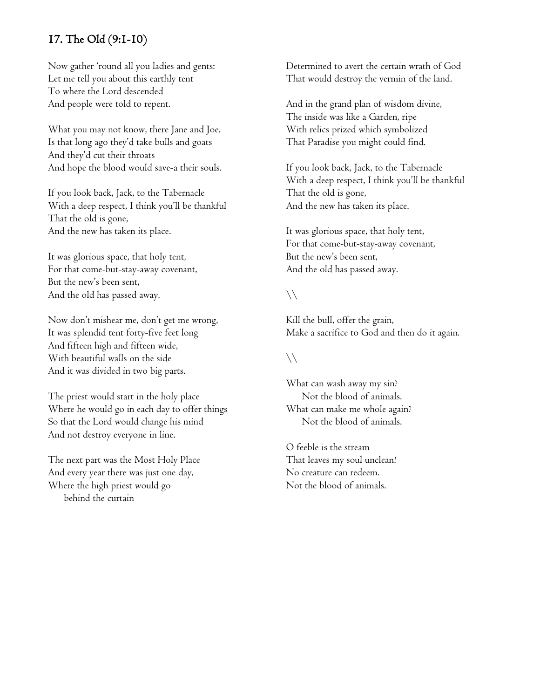### 17. The Old (9:1-10)

Now gather 'round all you ladies and gents: Let me tell you about this earthly tent To where the Lord descended And people were told to repent.

What you may not know, there Jane and Joe, Is that long ago they'd take bulls and goats And they'd cut their throats And hope the blood would save-a their souls.

If you look back, Jack, to the Tabernacle With a deep respect, I think you'll be thankful That the old is gone, And the new has taken its place.

It was glorious space, that holy tent, For that come-but-stay-away covenant, But the new's been sent, And the old has passed away.

Now don't mishear me, don't get me wrong, It was splendid tent forty-five feet long And fifteen high and fifteen wide, With beautiful walls on the side And it was divided in two big parts.

The priest would start in the holy place Where he would go in each day to offer things So that the Lord would change his mind And not destroy everyone in line.

The next part was the Most Holy Place And every year there was just one day, Where the high priest would go behind the curtain

Determined to avert the certain wrath of God That would destroy the vermin of the land.

And in the grand plan of wisdom divine, The inside was like a Garden, ripe With relics prized which symbolized That Paradise you might could find.

If you look back, Jack, to the Tabernacle With a deep respect, I think you'll be thankful That the old is gone, And the new has taken its place.

It was glorious space, that holy tent, For that come-but-stay-away covenant, But the new's been sent, And the old has passed away.

### $\setminus$

Kill the bull, offer the grain, Make a sacrifice to God and then do it again.

### $\setminus$

What can wash away my sin? Not the blood of animals. What can make me whole again? Not the blood of animals.

O feeble is the stream That leaves my soul unclean! No creature can redeem. Not the blood of animals.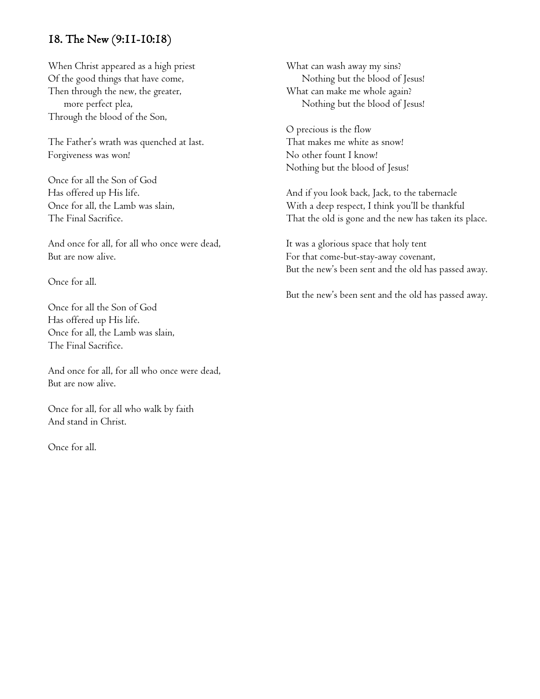### 18. The New (9:11-10:18)

When Christ appeared as a high priest Of the good things that have come, Then through the new, the greater, more perfect plea, Through the blood of the Son,

The Father's wrath was quenched at last. Forgiveness was won!

Once for all the Son of God Has offered up His life. Once for all, the Lamb was slain, The Final Sacrifice.

And once for all, for all who once were dead, But are now alive.

Once for all.

Once for all the Son of God Has offered up His life. Once for all, the Lamb was slain, The Final Sacrifice.

And once for all, for all who once were dead, But are now alive.

Once for all, for all who walk by faith And stand in Christ.

Once for all.

What can wash away my sins? Nothing but the blood of Jesus! What can make me whole again? Nothing but the blood of Jesus!

O precious is the flow That makes me white as snow! No other fount I know! Nothing but the blood of Jesus!

And if you look back, Jack, to the tabernacle With a deep respect, I think you'll be thankful That the old is gone and the new has taken its place.

It was a glorious space that holy tent For that come-but-stay-away covenant, But the new's been sent and the old has passed away.

But the new's been sent and the old has passed away.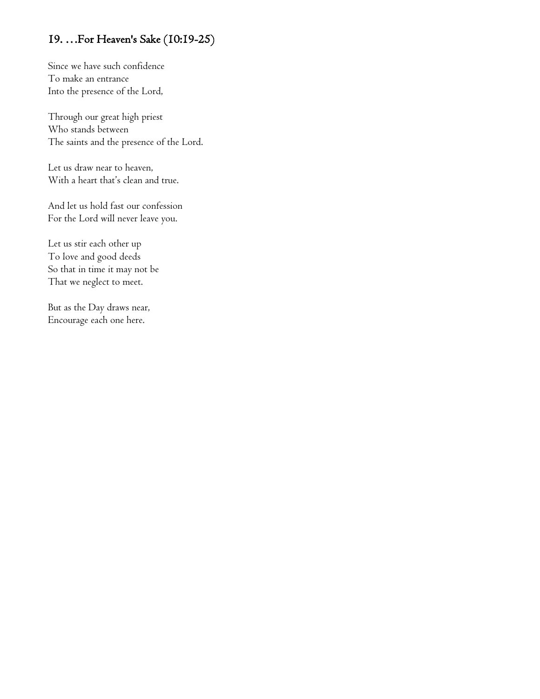## 19. …For Heaven's Sake (10:19-25)

Since we have such confidence To make an entrance Into the presence of the Lord,

Through our great high priest Who stands between The saints and the presence of the Lord.

Let us draw near to heaven, With a heart that's clean and true.

And let us hold fast our confession For the Lord will never leave you.

Let us stir each other up To love and good deeds So that in time it may not be That we neglect to meet.

But as the Day draws near, Encourage each one here.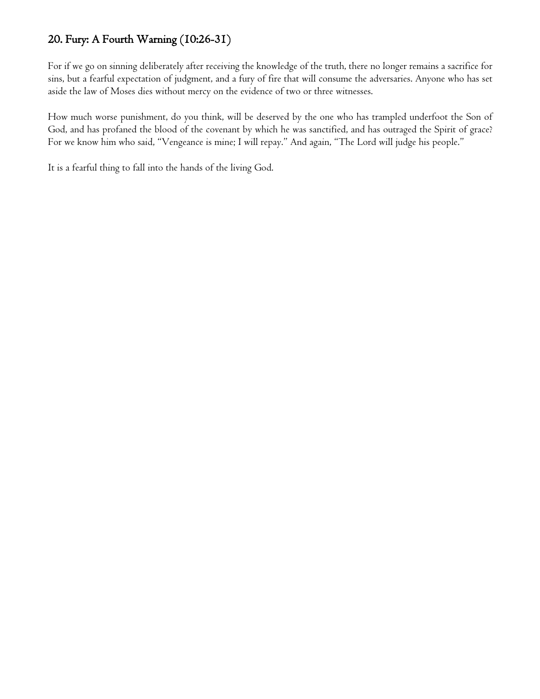### 20. Fury: A Fourth Warning (10:26-31)

For if we go on sinning deliberately after receiving the knowledge of the truth, there no longer remains a sacrifice for sins, but a fearful expectation of judgment, and a fury of fire that will consume the adversaries. Anyone who has set aside the law of Moses dies without mercy on the evidence of two or three witnesses.

How much worse punishment, do you think, will be deserved by the one who has trampled underfoot the Son of God, and has profaned the blood of the covenant by which he was sanctified, and has outraged the Spirit of grace? For we know him who said, "Vengeance is mine; I will repay." And again, "The Lord will judge his people."

It is a fearful thing to fall into the hands of the living God.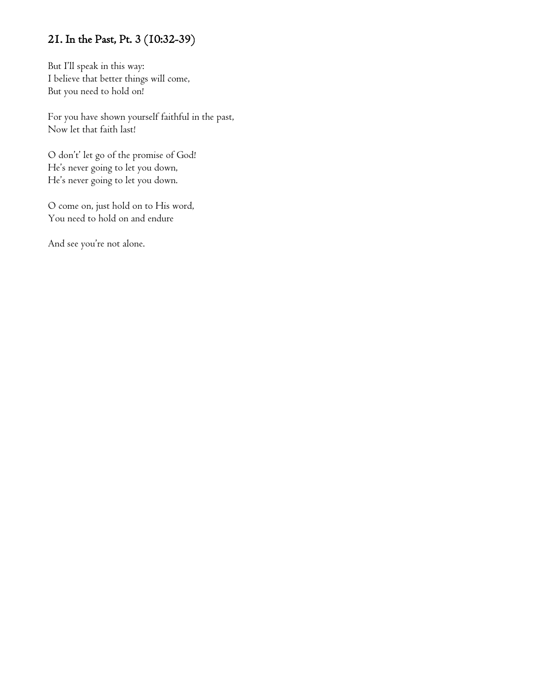# 21. In the Past, Pt. 3 (10:32-39)

But I'll speak in this way: I believe that better things will come, But you need to hold on!

For you have shown yourself faithful in the past, Now let that faith last!

O don't' let go of the promise of God! He's never going to let you down, He's never going to let you down.

O come on, just hold on to His word, You need to hold on and endure

And see you're not alone.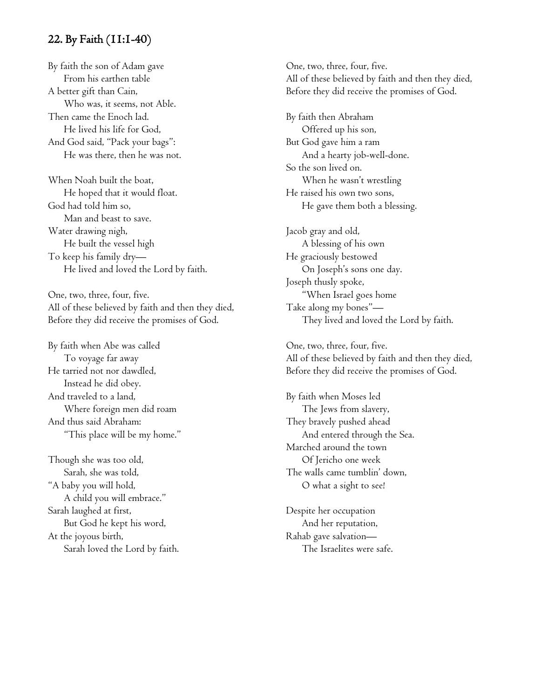### 22. By Faith (11:1-40)

By faith the son of Adam gave From his earthen table A better gift than Cain, Who was, it seems, not Able. Then came the Enoch lad. He lived his life for God, And God said, "Pack your bags": He was there, then he was not.

When Noah built the boat, He hoped that it would float. God had told him so, Man and beast to save. Water drawing nigh, He built the vessel high To keep his family dry— He lived and loved the Lord by faith.

One, two, three, four, five. All of these believed by faith and then they died, Before they did receive the promises of God.

By faith when Abe was called To voyage far away He tarried not nor dawdled, Instead he did obey. And traveled to a land, Where foreign men did roam And thus said Abraham: "This place will be my home."

Though she was too old, Sarah, she was told, "A baby you will hold, A child you will embrace." Sarah laughed at first, But God he kept his word, At the joyous birth, Sarah loved the Lord by faith. One, two, three, four, five. All of these believed by faith and then they died, Before they did receive the promises of God.

By faith then Abraham Offered up his son, But God gave him a ram And a hearty job-well-done. So the son lived on. When he wasn't wrestling He raised his own two sons, He gave them both a blessing.

Jacob gray and old, A blessing of his own He graciously bestowed On Joseph's sons one day. Joseph thusly spoke, "When Israel goes home Take along my bones"— They lived and loved the Lord by faith.

One, two, three, four, five. All of these believed by faith and then they died, Before they did receive the promises of God.

By faith when Moses led The Jews from slavery, They bravely pushed ahead And entered through the Sea. Marched around the town Of Jericho one week The walls came tumblin' down, O what a sight to see!

Despite her occupation And her reputation, Rahab gave salvation— The Israelites were safe.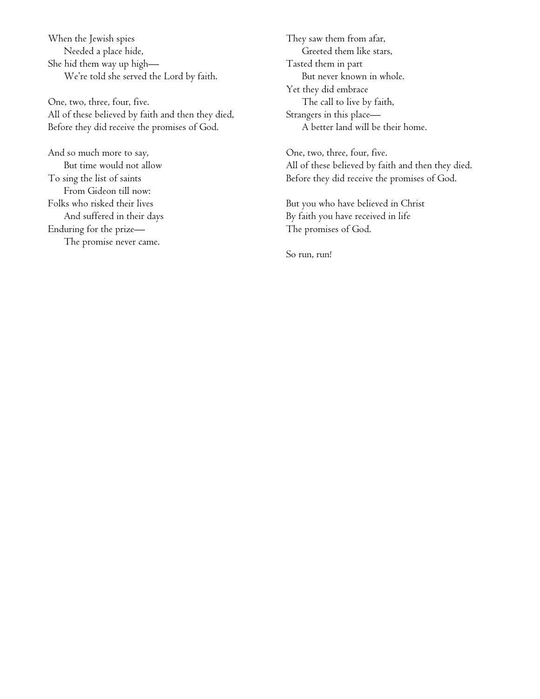When the Jewish spies Needed a place hide, She hid them way up high— We're told she served the Lord by faith.

One, two, three, four, five. All of these believed by faith and then they died, Before they did receive the promises of God.

And so much more to say, But time would not allow To sing the list of saints From Gideon till now: Folks who risked their lives And suffered in their days Enduring for the prize— The promise never came.

They saw them from afar, Greeted them like stars, Tasted them in part But never known in whole. Yet they did embrace The call to live by faith, Strangers in this place— A better land will be their home.

One, two, three, four, five. All of these believed by faith and then they died. Before they did receive the promises of God.

But you who have believed in Christ By faith you have received in life The promises of God.

So run, run!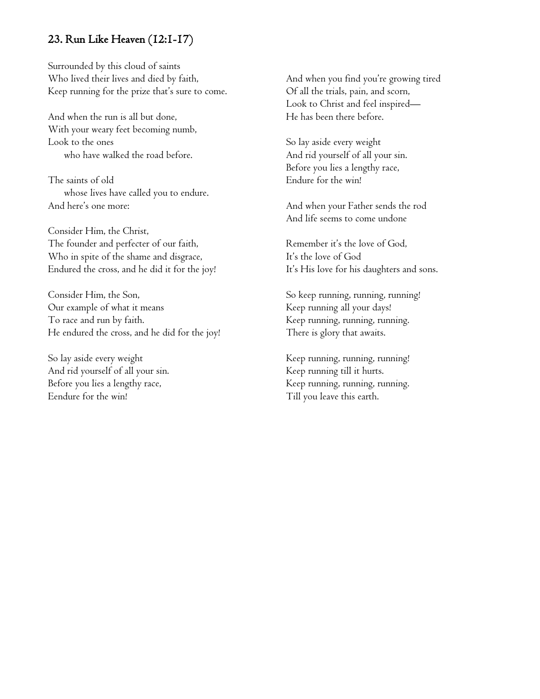### 23. Run Like Heaven (12:1-17)

Surrounded by this cloud of saints Who lived their lives and died by faith, Keep running for the prize that's sure to come.

And when the run is all but done, With your weary feet becoming numb, Look to the ones who have walked the road before.

The saints of old whose lives have called you to endure. And here's one more:

Consider Him, the Christ, The founder and perfecter of our faith, Who in spite of the shame and disgrace, Endured the cross, and he did it for the joy!

Consider Him, the Son, Our example of what it means To race and run by faith. He endured the cross, and he did for the joy!

So lay aside every weight And rid yourself of all your sin. Before you lies a lengthy race, Eendure for the win!

And when you find you're growing tired Of all the trials, pain, and scorn, Look to Christ and feel inspired— He has been there before.

So lay aside every weight And rid yourself of all your sin. Before you lies a lengthy race, Endure for the win!

And when your Father sends the rod And life seems to come undone

Remember it's the love of God, It's the love of God It's His love for his daughters and sons.

So keep running, running, running! Keep running all your days! Keep running, running, running. There is glory that awaits.

Keep running, running, running! Keep running till it hurts. Keep running, running, running. Till you leave this earth.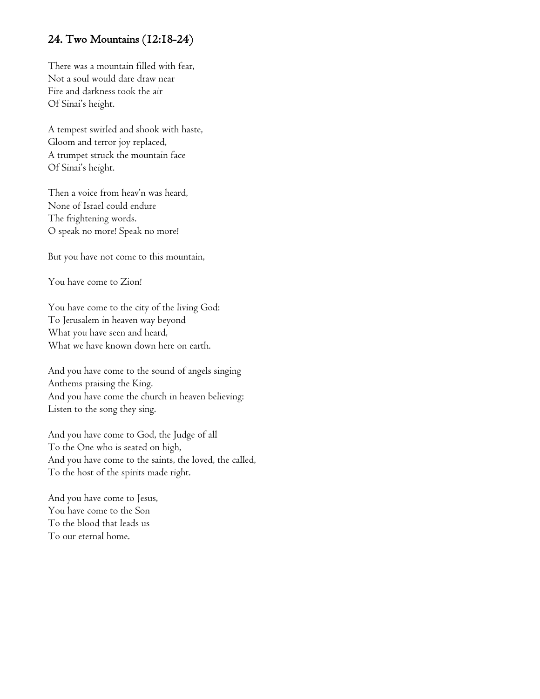### 24. Two Mountains (12:18-24)

There was a mountain filled with fear, Not a soul would dare draw near Fire and darkness took the air Of Sinai's height.

A tempest swirled and shook with haste, Gloom and terror joy replaced, A trumpet struck the mountain face Of Sinai's height.

Then a voice from heav'n was heard, None of Israel could endure The frightening words. O speak no more! Speak no more!

But you have not come to this mountain,

You have come to Zion!

You have come to the city of the living God: To Jerusalem in heaven way beyond What you have seen and heard, What we have known down here on earth.

And you have come to the sound of angels singing Anthems praising the King. And you have come the church in heaven believing: Listen to the song they sing.

And you have come to God, the Judge of all To the One who is seated on high, And you have come to the saints, the loved, the called, To the host of the spirits made right.

And you have come to Jesus, You have come to the Son To the blood that leads us To our eternal home.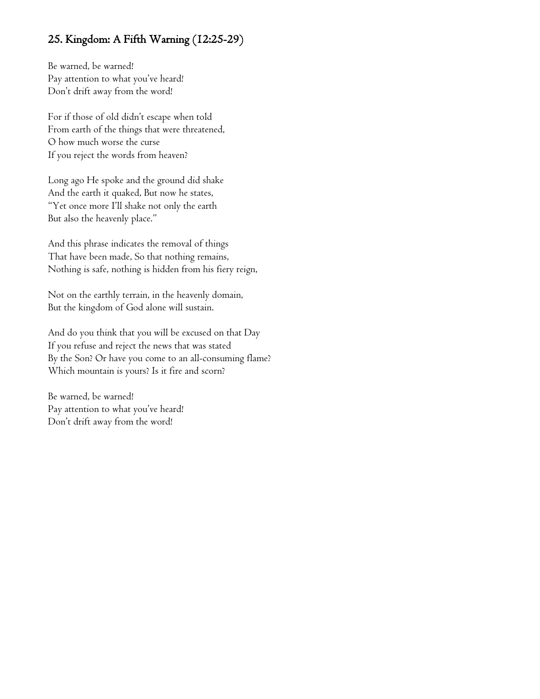### 25. Kingdom: A Fifth Warning (12:25-29)

Be warned, be warned! Pay attention to what you've heard! Don't drift away from the word!

For if those of old didn't escape when told From earth of the things that were threatened, O how much worse the curse If you reject the words from heaven?

Long ago He spoke and the ground did shake And the earth it quaked, But now he states, "Yet once more I'll shake not only the earth But also the heavenly place."

And this phrase indicates the removal of things That have been made, So that nothing remains, Nothing is safe, nothing is hidden from his fiery reign,

Not on the earthly terrain, in the heavenly domain, But the kingdom of God alone will sustain.

And do you think that you will be excused on that Day If you refuse and reject the news that was stated By the Son? Or have you come to an all-consuming flame? Which mountain is yours? Is it fire and scorn?

Be warned, be warned! Pay attention to what you've heard! Don't drift away from the word!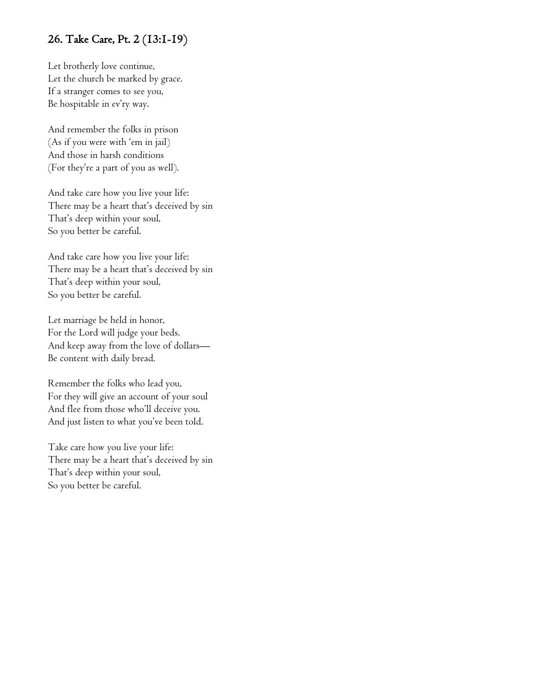### 26. Take Care, Pt. 2 (13:1-19)

Let brotherly love continue, Let the church be marked by grace. If a stranger comes to see you, Be hospitable in ev'ry way.

And remember the folks in prison (As if you were with 'em in jail) And those in harsh conditions (For they're a part of you as well).

And take care how you live your life: There may be a heart that's deceived by sin That's deep within your soul, So you better be careful.

And take care how you live your life: There may be a heart that's deceived by sin That's deep within your soul, So you better be careful.

Let marriage be held in honor, For the Lord will judge your beds. And keep away from the love of dollars— Be content with daily bread.

Remember the folks who lead you, For they will give an account of your soul And flee from those who'll deceive you. And just listen to what you've been told.

Take care how you live your life: There may be a heart that's deceived by sin That's deep within your soul, So you better be careful.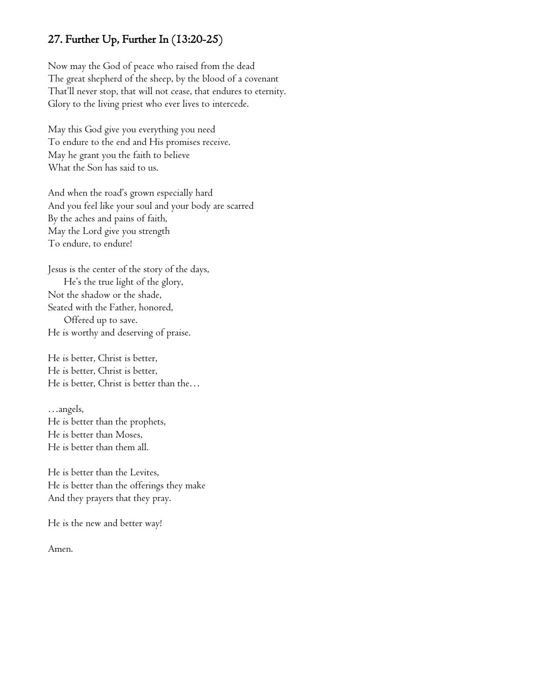### 27. Further Up, Further In (13:20-25)

Now may the God of peace who raised from the dead The great shepherd of the sheep, by the blood of a covenant That'll never stop, that will not cease, that endures to eternity. Glory to the living priest who ever lives to intercede.

May this God give you everything you need To endure to the end and His promises receive. May he grant you the faith to believe What the Son has said to us.

And when the road's grown especially hard And you feel like your soul and your body are scarred By the aches and pains of faith, May the Lord give you strength To endure, to endure!

Jesus is the center of the story of the days, He's the true light of the glory, Not the shadow or the shade, Seated with the Father, honored, Offered up to save. He is worthy and deserving of praise.

He is better, Christ is better, He is better, Christ is better, He is better, Christ is better than the…

…angels, He is better than the prophets, He is better than Moses, He is better than them all.

He is better than the Levites, He is better than the offerings they make And they prayers that they pray.

He is the new and better way!

Amen.